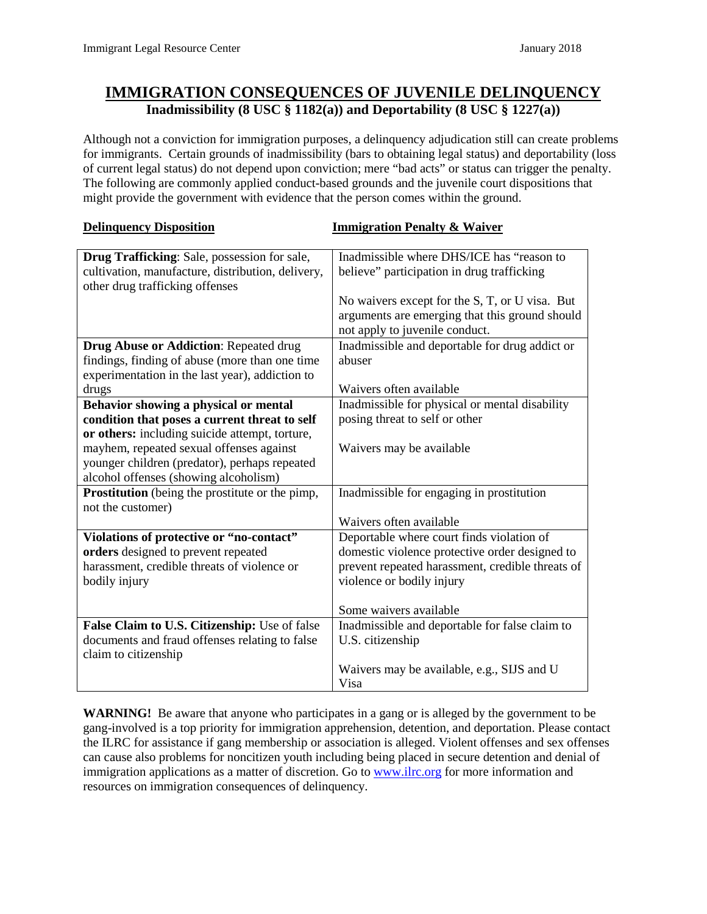## **IMMIGRATION CONSEQUENCES OF JUVENILE DELINQUENCY Inadmissibility (8 USC § 1182(a)) and Deportability (8 USC § 1227(a))**

Although not a conviction for immigration purposes, a delinquency adjudication still can create problems for immigrants. Certain grounds of inadmissibility (bars to obtaining legal status) and deportability (loss of current legal status) do not depend upon conviction; mere "bad acts" or status can trigger the penalty. The following are commonly applied conduct-based grounds and the juvenile court dispositions that might provide the government with evidence that the person comes within the ground.

| <b>Delinquency Disposition</b>                                                                                                                     | <b>Immigration Penalty &amp; Waiver</b>                                                                                            |
|----------------------------------------------------------------------------------------------------------------------------------------------------|------------------------------------------------------------------------------------------------------------------------------------|
| Drug Trafficking: Sale, possession for sale,<br>cultivation, manufacture, distribution, delivery,                                                  | Inadmissible where DHS/ICE has "reason to<br>believe" participation in drug trafficking                                            |
| other drug trafficking offenses                                                                                                                    | No waivers except for the S, T, or U visa. But<br>arguments are emerging that this ground should<br>not apply to juvenile conduct. |
| <b>Drug Abuse or Addiction: Repeated drug</b><br>findings, finding of abuse (more than one time<br>experimentation in the last year), addiction to | Inadmissible and deportable for drug addict or<br>abuser                                                                           |
| drugs                                                                                                                                              | Waivers often available                                                                                                            |
| Behavior showing a physical or mental                                                                                                              | Inadmissible for physical or mental disability                                                                                     |
| condition that poses a current threat to self                                                                                                      | posing threat to self or other                                                                                                     |
| or others: including suicide attempt, torture,                                                                                                     |                                                                                                                                    |
| mayhem, repeated sexual offenses against                                                                                                           | Waivers may be available                                                                                                           |
| younger children (predator), perhaps repeated                                                                                                      |                                                                                                                                    |
| alcohol offenses (showing alcoholism)                                                                                                              |                                                                                                                                    |
| Prostitution (being the prostitute or the pimp,<br>not the customer)                                                                               | Inadmissible for engaging in prostitution                                                                                          |
|                                                                                                                                                    | Waivers often available                                                                                                            |
| Violations of protective or "no-contact"                                                                                                           | Deportable where court finds violation of                                                                                          |
| orders designed to prevent repeated                                                                                                                | domestic violence protective order designed to                                                                                     |
| harassment, credible threats of violence or                                                                                                        | prevent repeated harassment, credible threats of                                                                                   |
| bodily injury                                                                                                                                      | violence or bodily injury                                                                                                          |
|                                                                                                                                                    | Some waivers available                                                                                                             |
| False Claim to U.S. Citizenship: Use of false                                                                                                      | Inadmissible and deportable for false claim to                                                                                     |
| documents and fraud offenses relating to false<br>claim to citizenship                                                                             | U.S. citizenship                                                                                                                   |
|                                                                                                                                                    | Waivers may be available, e.g., SIJS and U                                                                                         |
|                                                                                                                                                    | Visa                                                                                                                               |

**WARNING!** Be aware that anyone who participates in a gang or is alleged by the government to be gang-involved is a top priority for immigration apprehension, detention, and deportation. Please contact the ILRC for assistance if gang membership or association is alleged. Violent offenses and sex offenses can cause also problems for noncitizen youth including being placed in secure detention and denial of immigration applications as a matter of discretion. Go t[o www.ilrc.org](http://www.ilrc.org/) for more information and resources on immigration consequences of delinquency.